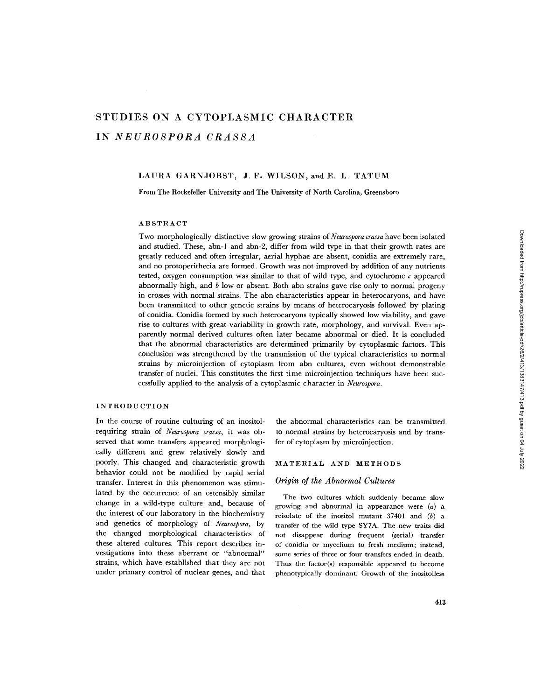# **STUDIES ON A CYTOPLASMIC CHARACTER IN** *NEUROSPORA CRASSA*

# LAURA GARNJOBST, J. F. WILSON, and E. L. TATUM

From The Rockefeller University and The University of North Carolina, Greensboro

## ABSTRACT

Two morphologically distinctive slow growing strains of *Neurospora crassa* have been isolated and studied. These, abn-1 and abn-2, differ from wild type in that their growth rates are greatly reduced and often irregular, aerial hyphae are absent, conidia are extremely rare, and no protoperithecia are formed. Growth was not improved by addition of any nutrients tested, oxygen consumption was similar to that of wild type, and cytochrome  $c$  appeared abnormally high, and  $b$  low or absent. Both abn strains gave rise only to normal progeny in crosses with normal strains. The abn characteristics appear in heterocaryons, and have been transmitted to other genetic strains by means of heterocaryosis followed by plating of conidia. Conidia formed by such heterocaryons typically showed low viability, and gave rise to cultures with great variability in growth rate, morphology, and survival. Even apparently normal derived cultures often later became abnormal or died. It is concluded that the abnormal characteristics are determined primarily by cytoplasmic factors. This conclusion was strengthened by the transmission of the typical characteristics to normal strains by microinjection of cytoplasm from abn cultures, even without demonstrable transfer of nuclei. This constitutes the first time microinjection techniques have been successfully applied to the analysis of a cytoplasmic character in *Neurospora.* 

#### INTRODUCTION

In the course of routine culturing of an inositolrequiring strain of *Neurospora crassa,* it was observed that some transfers appeared morphologically different and grew relatively slowly and poorly. This changed and characteristic growth behavior could not be modified by rapid serial transfer. Interest in this phenomenon was stimulated by the occurrence of an ostensibly similar change in a wild-type culture and, because of the interest of our laboratory in the biochemistry and genetics of morphology of *Neurospora,* by the changed morphological characteristics of these altered cultures. This report describes investigations into these aberrant or "abnormal" strains, which have established that they are not under primary control of nuclear genes, and that

the abnormal characteristics can be transmitted to normal strains by heterocaryosis and by transfer of cytoplasm by microinjection.

# MATERIAL AND METHODS

#### *Origin of the Abnormal Cultures*

The two cultures which suddenly became slow growing and abnormal in appearance were (a) a reisolate of the inositol mutant  $37401$  and  $(b)$  a transfer of the wild type SY7A. The new traits did not disappear during frequent (serial) transfer of conidia or mycelium to fresh medium; instead, some series of three or four transfers ended in death. Thus the factor(s) responsible appeared to become phenotypically dominant. Growth of the inositolless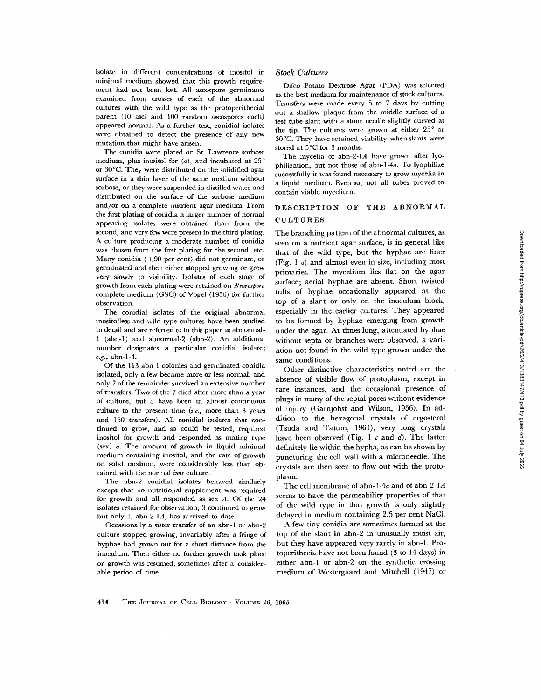isolate in different concentrations of inositol in minimal medium showed that this growth requirement had not been lost. A1] ascospore germinants examined from crosses of each of the abnormal cultures with the wild type as the protoperithecial parent (10 asci and 100 random aseospores each) appeared normal. As a further test, conidial isolates were obtained to detect the presence of any new mutation that might have arisen.

The conidia were plated on St. Lawrence sorbose medium, plus inositol for  $(a)$ , and incubated at 25 $^{\circ}$ or 30°C. They were distributed on the solidified agar surface in a thin layer of the same medium without sorbose, or they were suspended in distilled water and distributed on the surface of the sorbose medium and/or on a complete nutrient agar medium. From the first plating of conidia a larger number of normal appearing isolates were obtained than from the second, and very few were present in the third plating. A culture producing a moderate number of conidia was chosen from the first plating for the second, etc. Many conidia  $(\pm 90$  per cent) did not germinate, or germinated and then either stopped growing or grew very slowly to visibility. Isolates of each stage of growth from each plating were retained on *Neurospora*  complete medium (GSC) of Vogel (1956) for further observation.

The conidial isolates of the original abnormal inositolless and wild-type cultures have been studied in detail and are referred to in this paper as abnormal-1 (abn-1) and abnormal-2 (abn-2). An additional number designates a particular conidial isolate; *e.g.,* abn-l-4.

Of the 113 abn-1 colonies and germinated conidia isolated, only a few became more or less normal, and only 7 of the remainder survived an extensive number of transfers. Two of the 7 died after more than a year of culture, but 5 have been in ahnost continuous culture to the present time *(i.e.,* more than 3 years and 150 transfers). All conidial isolates that continued to grow, and so could be tested, required inositol for growth and responded as mating type  $(sex)$  *a*. The amount of growth in liquid minimal medium containing inositol, and the rate of growth on solid medium, were considerably less than obtained with the normal *inos* culture.

The abn-2 conidial isolates behaved similarly except that no nutritional supplement was required for growth and all responded as sex  $A$ . Of the 24 isolates retained for observation, 3 continued to grow but only 1, abn-2-1 $A$ , has survived to date.

Occasionally a sister transfer of an abn-1 or abn-2 culture stopped growing, invariably after a fringe of hyphae had grown out for a short distance from the inoculum. Then either no further growth took place or growth was resumed, sometimes after a considerable period of time.

#### *Stock Cultures*

Difco Potato Dextrose Agar (PDA) was selected as the best medium for maintenance of stock cultures. Transfers were made every 5 to 7 days by cutting out a shallow plaque from the middle surface of a test tube slant with a stout needle slightly curved at the tip. The cultures were grown at either  $25^\circ$  or 30°C. They have retained viability when slants were stored at 5°C for 3 months.

The mycelia of abn-2-1A have grown after lyophilization, but not those of abn-l-4a. To lyophilize successfully it was found necessary to grow mycelia in a liquid medium. Even so, not all tubes proved to contain viable mycelium.

# DESCRIPTION OF THE ABNORMAL

# CULTURES

The branching pattern of the abnormal cultures, as seen on a nutrient agar surface, is in general like that of the wild type, but the hyphae are finer (Fig. 1 a) and almost even in size, including most primaries. The mycelium lies flat on the agar surface; aerial hyphae are absent. Short twisted tufts of hyphae occasionally appeared at the top of a slant or only on the inoculum block, especially in the earlier cultures. They appeared to be formed by hyphae emerging from growth under the agar. At times long, attenuated hyphae without septa or branches were observed, a variation not found in the wild type grown under the same conditions.

Other distinctive characteristics noted are the absence of visible flow of protoplasm, except in rare instances, and the occasional presence of plugs in many of the septal pores without evidence of injury (Garnjobst and Wilson, 1956). In addition to the hexagonal crystals of ergosterol (Tsuda and Tatum, 1961), very long crystals have been observed (Fig. 1  $c$  and  $d$ ). The latter definitely lie within the hypha, as can be shown by puncturing the cell wall with a microneedle. The crystals are then seen to flow out with the protoplasm.

The cell membrane of abn-l-4a and of abn-2-1A seems to have the permeability properties of that of the wild type in that growth is only slightly delayed in medium containing 2.5 per cent NaC1.

A few tiny conidia are sometimes formed at the top of the slant in abn-2 in unusually moist air, but they have appeared very rarely in abn-1. Protoperithecia have not been found (3 to 14 days) in either abn-1 or abn-2 on the synthetic crossing medium of Westergaard and Mitchell (1947) or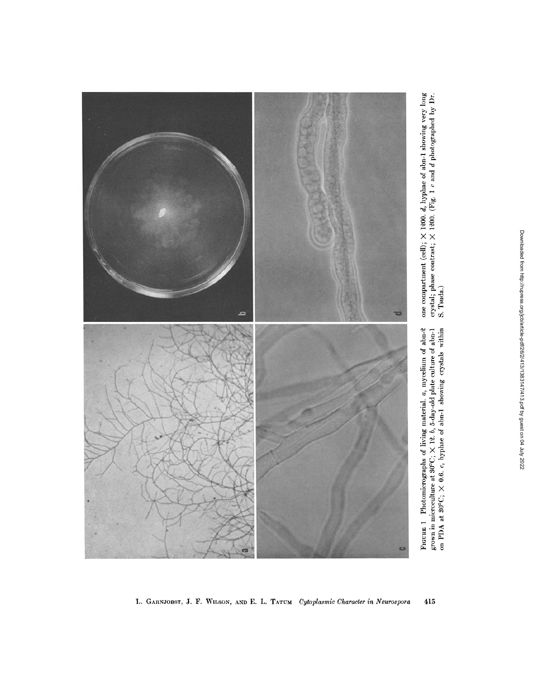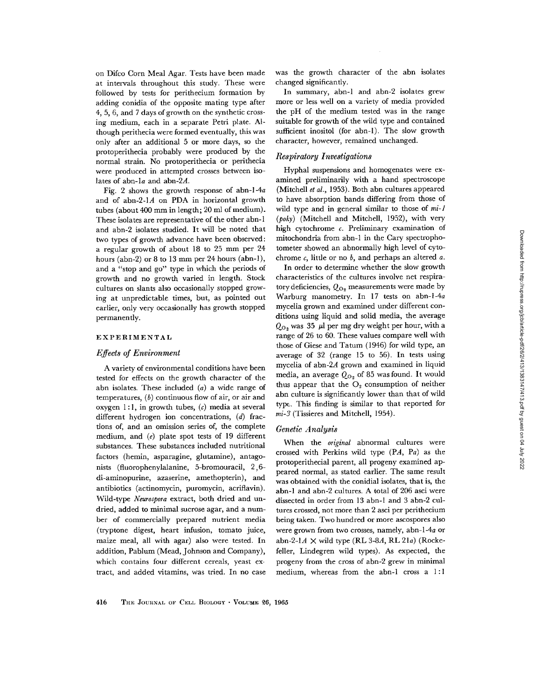on Difco Corn Meal Agar. Tests have been made at intervals throughout this study. These were followed by tests for perithecium formation by adding conidia of the opposite mating type after 4, 5, 6, and 7 days of growth on the synthetic crossing medium, each in a separate Petri plate. Although perithecia were formed eventually, this was only after an additional 5 or more days, so the protoperithecia probably were produced by the normal strain. No protoperithecia or perithecia were produced in attempted crosses between isolates of abn-la and abn-2A.

Fig. 2 shows the growth response of abn-l-4a and of abn-2-1A on PDA in horizontal growth tubes (about 400 mm in length; 20 ml of medium). These isolates are representative of the other abn-1 and abn-2 isolates studied. It will be noted that two types of growth advance have been observed : a regular growth of about 18 to 25 mm per 24 hours (abn-2) or 8 to 13 mm per 24 hours (abn-1), and a "stop and go" type in which the periods of growth and no growth varied in length. Stock cultures on slants also occasionally stopped growing at unpredictable times, but, as pointed out earlier, only very occasionally has growth stopped permanently.

# EXPERIMENTAL

#### *Effects of Environment*

A variety of environmental conditions have *been*  tested for effects on the growth character of the abn isolates. These included (a) a wide range of temperatures,  $(b)$  continuous flow of air, or air and oxygen 1:1, in growth tubes,  $(c)$  media at several different hydrogen ion concentrations, (d) fractions of, and an omission series of, the complete medium, and  $(e)$  plate spot tests of 19 different substances. These substances included nutritional factors (hemin, asparagine, glutamine), antagonists (fluorophenylalanine, 5-bromouracil, 2,5 di-aminopurine, azaserine, amethopterin), and antibiotics (actinomycin, puromycin, acriflavin). Wild-type *Neurospora* extract, both dried and undried, added to minimal sucrose agar, and a number of commercially prepared nutrient media (tryptone digest, heart infusion, tomato juice, maize meal, all with agar) also were tested. In addition, Pablum (Mead, Johnson and Company), which contains four different cereals, yeast extract, and added vitamins, was tried. In no case was the growth character of the abn isolates changed significantly.

In summary, abn-1 and abn-2 isolates grew more or less well on a variety of media provided the pH of the medium tested was in the range suitable for growth of the wild type and contained sufficient inositol (for abn-1). The slow growth character, however, remained unchanged.

### *Respiratory Investigations*

Hyphal suspensions and homogenates were examined preliminarily with a hand spectroscope (Mitchell *et al.,* 1953). Both abn cultures appeared to have absorption bands differing from those of wild type and in general similar to those of *mi-1 (poky)* (Mitchell and Mitchell, 1952), with very high cytochrome c. Preliminary examination of mitochondria from abn-1 in the Cary spectrophotometer showed an abnormally high level of cytochrome  $c$ , little or no  $b$ , and perhaps an altered  $a$ .

In order to determine whether the slow growth characteristics of the cultures involve net respiratory deficiencies,  $Q_{\Omega}$ , measurements were made by Warburg manometry. In 17 tests on abn-l-4a mycelia grown and examined under different conditions using liquid and solid media, the average  $Q_{\text{O}}$ , was 35  $\mu$ l per mg dry weight per hour, with a range of 26 to 60. These values compare well with those of Giese and Tatum (1946) for wild type, an average of 32 (range 15 to 56). In tests using mycelia of abn-2A grown and examined in liquid media, an average  $Q_{O_2}$  of 85 was found. It would thus appear that the  $O<sub>2</sub>$  consumption of neither abn culture is significandy lower than that of wild type. This finding is similar to that reported for *mi-3* (Tissieres and Mitchell, 1954).

#### *Genetic Analysis*

When the *original* abnormal cultures were crossed with Perkins wild type (PA, Pa) as the protoperithecial parent, all progeny examined appeared normal, as stated earlier. The same result was obtained with the conidial isolates, that is, the abn-1 and abn-2 cultures. A total of 206 asci were dissected in order from 13 abn-1 and 3 abn-2 cultures crossed, not more than 2 asci per perithecium being taken. Two hundred or more ascospores also were grown from two crosses, namely, abn-l-4a or abn-2-1A  $\times$  wild type (RL 3-8A, RL 21a) (Rockefeller, Lindegren wild types). As expected, the progeny from the cross of abn-2 grew in minimal medium, whereas from the abn-1 cross a 1:1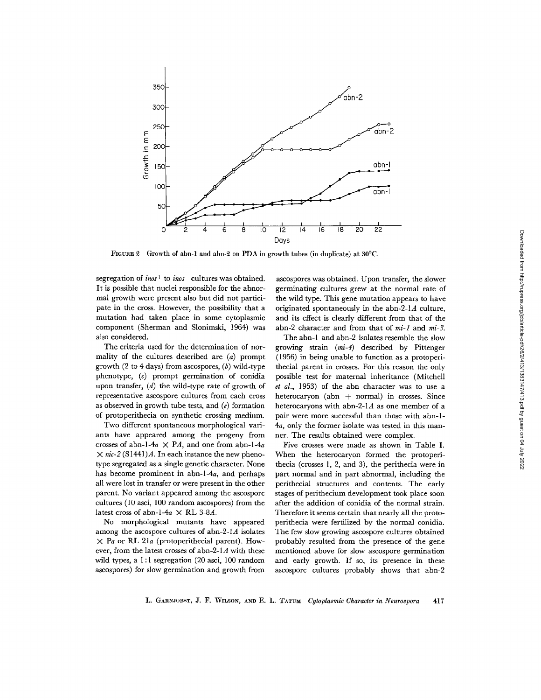

FIGURE 2 Growth of abn-1 and abn-2 on PDA in growth tubes (in duplicate) at  $30^{\circ}$ C.

segregation of *inos*<sup>+</sup> to *inos*<sup>-</sup> cultures was obtained. It is possible that nuclei responsible for the abnormal growth were present also but did not participate in the cross. However, the possibility that a mutation had taken place in some cytoplasmic component (Sherman and Slonimski, 1964) was also considered.

The criteria used for the determination of normality of the cultures described are (a) prompt growth  $(2 \text{ to } 4 \text{ days})$  from ascospores,  $(b)$  wild-type phenotype, (c) prompt germination of conidia upon transfer, (d) the wild-type rate of growth of representative ascospore cultures from each cross as observed in growth tube tests, and  $(e)$  formation of protoperithecia on synthetic crossing medium.

Two different spontaneous morphological variants have appeared among the progeny from crosses of abn-l-4a  $\times$  PA, and one from abn-l-4a  $\times$  *nic-2* (S1441)A. In each instance the new phenotype segregated as a single genetic character. None has become prominent in abn-l-4a, and perhaps all were lost in transfer or were present in the other parent. No variant appeared among the ascospore cultures (10 asci, 100 random ascospores) from the latest cross of abn-l-4a  $\times$  RL 3-8A.

No morphological mutants have appeared among the ascospore cultures of abn-2-1A isolates  $\times$  Pa or RL 21a (protoperithecial parent). However, from the latest crosses of abn-2-1A with these wild types, a 1:1 segregation (20 asci, 100 random ascospores) for slow germination and growth from

ascospores was obtained. Upon transfer, the slower germinating cultures grew at the normal rate of the wild type. This gene mutation appears to have originated spontaneously in the abn-2-1 $A$  culture, and its effect is clearly different from that of the abn-2 character and from that of *mi-1* and *mi-3.* 

The abn-1 and abn-2 isolates resemble the slow growing strain *(mi-4)* described by Pittenger (1956) in being unable to function as a protoperithecial parent in crosses. For this reason the only possible test for maternal inheritance (Mitchell *et al.,* 1953) of the abn character was to use a heterocaryon (abn  $+$  normal) in crosses. Since heterocaryons with abn-2-1A as one member of a pair were more successful than those with abn-1- *4a,* only the former isolate was tested in this manner. The results obtained were complex.

Five crosses were made as shown in Table I. When the heterocaryon formed the protoperithecia (crosses l, 2, and 3), the perithecia were in part normal and in part abnormal, including the perithecial structures and contents. The early stages of perithecium development took place soon after the addition of conidia of the normal strain. Therefore it seems certain that nearly all the protoperithecia were fertilized by the normal conidia. The few slow growing ascospore cultures obtained probably resulted from the presence of the gene mentioned above for slow ascospore germination and early growth. If so, its presence in these ascospore cultures probably shows that abn-2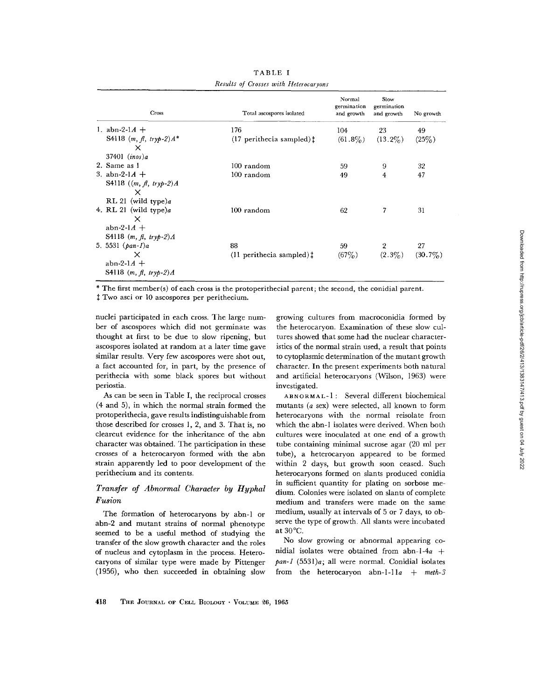| Cross                                                                          | Total ascospores isolated            | Normal<br>germination<br>and growth | Slow<br>germination<br>and growth | No growth  |
|--------------------------------------------------------------------------------|--------------------------------------|-------------------------------------|-----------------------------------|------------|
| 1. $abn-2-1A +$                                                                | 176                                  | 104                                 | 23                                | 49         |
| S4118 $(m, \hat{\mu}, tryp-2)A^*$<br>x<br>$37401$ $(inos)a$                    | $(17$ perithecia sampled) $\ddagger$ | $(61.8\%)$                          | $(13.2\%)$                        | $(25\%)$   |
| 2. Same as 1                                                                   | 100 random                           | 59                                  | 9                                 | 32         |
| 3. abn-2-1 $A +$                                                               | 100 random                           | 49                                  | $\overline{4}$                    | 47         |
| S4118 $((m, f, tryp-2)A)$<br>x<br>RL 21 (wild type)a                           |                                      |                                     |                                   |            |
| 4. RL 21 (wild type)a<br>$\times$<br>abn-2-1 $A$ +<br>S4118 $(m, fl, tryp-2)A$ | $100$ random                         | 62                                  | 7                                 | 31         |
| 5. 5531 $(\rho a n - 1)a$                                                      | 88                                   | 59                                  | $\overline{2}$                    | 27         |
| $\times$<br>abn-2-1 $A +$<br>S4118 $(m, \hat{\mu}, try\hat{p} - 2)A$           | $(11$ perithecia sampled) $\ddagger$ | $(67\%)$                            | $(2.3\%)$                         | $(30.7\%)$ |

TABLE I *Results of Crosses with Heterocaryons* 

\* The first member(s) of each cross is the protoperithecial parent; the second, the conidial parent.

 $t$  Two asci or 10 ascospores per perithecium.

nuclei participated in each cross. The large number of ascospores which did not germinate was thought at first to be due to slow ripening, but ascospores isolated at random at a later time gave similar results. Very few ascospores were shot out, a fact accounted for, in part, by the presence of perithecia with some black spores but without periostia.

As can be seen in Table I, the reciprocal crosses (4 and 5), in which the normal strain formed the protoperithecia, gave results indistinguishable from those described for crosses 1, 2, and 3. That is, no clearcut evidence for the inheritance of the abn character was obtained. The participation in these crosses of a heterocaryon formed with the abn strain apparently led to poor development of the perithecium and its contents.

# *Transfer of Abnormal Character by Hyphal Fusion*

The formation of heterocaryons by ahn-1 or abn-2 and mutant strains of normal phenotype seemed to be a useful method of studying the transfer of the slow growth character and the roles of nucleus and cytoplasm in the process. Heterocaryons of similar type were made by Pittenger (1956), who then succeeded in obtaining slow

growing cultures from macroconidia formed by the heterocaryon. Examination of these slow cultures showed that some had the nuclear characteristics of the normal strain used, a result that points to cytoplasmic determination of the mutant growth character. In the present experiments both natural and artificial heterocaryons (Wilson, 1963) were investigated.

ABNORMAL-1 : Several different biochemical mutants (a sex) were selected, all known to form heterocaryons with the normal reisolate from which the abn-1 isolates were derived. When both cultures were inoculated at one end of a growth tube containing minimal sucrose agar (20 ml per tube), a heterocaryon appeared to be formed within 2 days, but growth soon ceased. Such heterocaryons formed on slants produced conidia in sufficient quantity for plating on sorbose medium. Colonies were isolated on slants of complete medium and transfers were made on the same medium, usually at intervals of 5 or 7 days, to observe the type of growth. All slants were incubated at 30°C.

No slow growing or abnormal appearing conidial isolates were obtained from abn-l-4a + *pan-1* (5531)a; all were normal. Conidial isolates from the heterocaryon abn-1-11a +  $meth-3$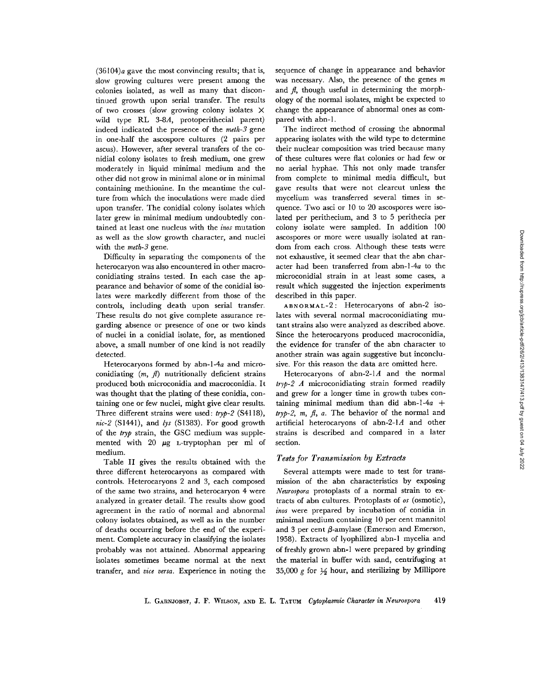$(36104)<sub>a</sub>$  gave the most convincing results; that is, slow growing cultures were present among the colonies isolated, as well as many that discontinued growth upon serial transfer. The results of two crosses (slow growing colony isolates X wild type RL 3-8A, protoperithecial parent) indeed indicated the presence of the *meth-3* gene in one-half the ascospore cultures (2 pairs per ascus). However, after several transfers of the conidial colony isolates to fresh medium, one grew moderately in liquid minimal medium and the other did not grow in minimal alone or in minimal containing methionine. In the meantime the culture from which the inoculations were made died upon transfer. The conidial colony isolates which later grew in minimal medium undoubtedly contained at least one nucleus with the *inos* mutation as well as the slow growth character, and nuclei with the *meth-3* gene.

Difficulty in separating the components of the heterocaryon was also encountered in other macroconidiating strains tested. In each case the appearance and behavior of some of the conidial isolates were markedly different from those of the controls, including death upon serial transfer. These results do not give complete assurance regarding absence or presence of one or two kinds of nuclei in a conidial isolate, for, as mentioned above, a small number of one kind is not readily detected.

Heterocaryons formed by abn-l-4a and microconidiating  $(m, \text{ } n)$  nutritionally deficient strains produced both microconidia and macroconidia. It was thought that the plating of these conidia, containing one or few nuclei, might give clear results. Three different strains were used: *tryp-2* (\$4118), *nic-2* (S1441), and *lys* (S1383). For good growth of the *tryp* strain, the GSC medium was supplemented with 20  $\mu$ g L-tryptophan per ml of medium.

Table II gives the results obtained with the three different heterocaryons as compared with controls. Heterocaryons 2 and 3, each composed of the same two strains, and heterocaryon 4 were analyzed in greater detail. The results show good agreement in the ratio of normal and abnormal colony isolates obtained, as well as in the number of deaths occurring before the end of the experiment. Complete accuracy in classifying the isolates probably was not attained. Abnormal appearing isolates sometimes became normal at the next transfer, and *vice versa.* Experience in noting the

sequence of change in appearance and behavior was necessary. Also, the presence of the genes  $m$ and  $f$ , though useful in determining the morphology of the normal isolates, might be expected to change the appearance of abnormal ones as compared with abn-1.

The indirect method of crossing the abnormal appearing isolates with the wild type to determine their nuclear composition was tried because many of these cultures were fiat colonies or had few or no aerial hyphae. This not only made transfer from complete to minimal media difficult, but gave results that were not clearcut unless the mycelium was transferred several times in sequence. Two asci or l0 to 20 ascospores were isolated per perithecium, and 3 to 5 perithecia per colony isolate were sampled. In addition 100 ascospores or more were usually isolated at random from each cross. Although these tests were not exhaustive, it seemed clear that the abn character had been transferred from abn-l-4a to the microconidial strain in at least some cases, a result which suggested the injection experiments described in this paper.

ABNORMAL-2: Heterocaryons of abn-2 isolates with several normal macroconidiating mutant strains also were analyzed as described above. Since the heterocaryons produced macroconidia, the evidence for transfer of the abn character to another strain was again suggestive but inconclusive. For this reason the data are omitted here.

Heterocaryons of abn-2-1A and the normal *tryp-2 A* microconidiating strain formed readily and grew for a longer time in growth tubes containing minimal medium than did abn-1-4a + *tryp-2, m, t, a.* The behavior of the normal and artificial heterocaryons of abn-2-1A and other strains is described and compared in a later section.

#### *Tests for Transmission by Extracts*

Several attempts were made to test for transmission of the abn characteristics by exposing *Neurospora* protoplasts of a normal strain to extracts of abn cultures. Protoplasts of *os* (osmotic), *inos* were prepared by incubation of conidia in minimal medium containing 10 per cent mannitol and 3 per cent  $\beta$ -amylase (Emerson and Emerson, 1958). Extracts of lyophilized abn-1 mycelia and of freshly grown abn-1 were prepared by grinding the material in buffer with sand, centrifuging at 35,000 g for  $\frac{1}{2}$  hour, and sterilizing by Millipore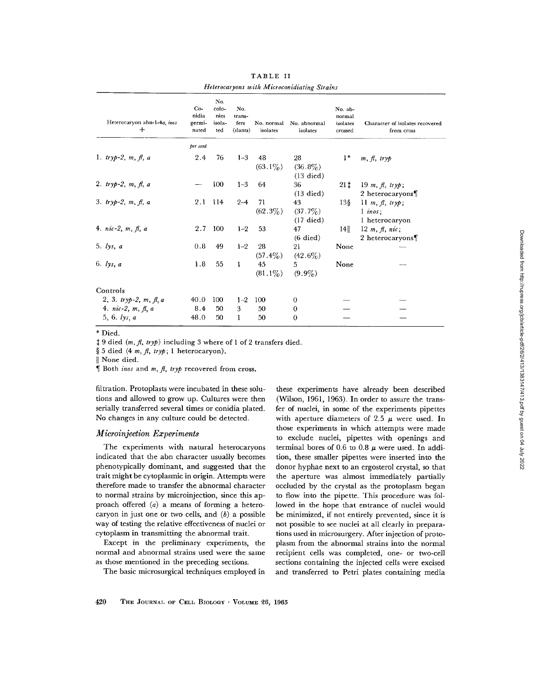| Heterocaryon abn-1-4a, inos<br>$+$ | $Co-$<br>nidia<br>germi-<br>nated | No.<br>colo-<br>nies<br>isola-<br>ted | No.<br>trans-<br>fers<br>(slants) | No. normal<br>isolates | No. abnormal<br>isolates                | No. ab-<br>normal<br>isolates<br>crossed | Character of isolates recovered<br>from cross         |
|------------------------------------|-----------------------------------|---------------------------------------|-----------------------------------|------------------------|-----------------------------------------|------------------------------------------|-------------------------------------------------------|
|                                    | per cent                          |                                       |                                   |                        |                                         |                                          |                                                       |
| 1. $tryp-2, m, fl, a$              | 2.4                               | 76                                    | $1 - 3$                           | 48<br>$(63.1\%)$       | 28<br>$(36.8\%)$<br>$(13 \text{ died})$ | $1*$                                     | $m, \beta, trv\phi$                                   |
| 2. $tryp-2, m, fl, a$              |                                   | 100                                   | $1 - 3$                           | 64                     | 36<br>$(13 \text{ died})$               |                                          | $21\ddagger$ 19 m, $\beta$ , tryp;<br>2 heterocaryons |
| 3. $tryp-2, m, fl, a$              | 2.1                               | - 114                                 | $2 - 4$                           | 71<br>$(62.3\%)$       | 43<br>$(37.7\%)$<br>$(17 \text{ died})$ | $13\frac{8}{3}$                          | 11 m, $\beta$ , tryp;<br>$1$ inos:<br>1 heterocaryon  |
| 4. $nic-2, m, \beta, a$            | 2.7                               | 100                                   | $1 - 2$                           | 53                     | 47<br>$(6 \text{ died})$                | 14                                       | 12 m, $\beta$ , nic;<br>2 heterocaryons               |
| 5. $lys, a$                        | 0.8                               | 49                                    | $1 - 2$                           | 28<br>$(57.4\%)$       | 21<br>$(42.6\%)$                        | None                                     |                                                       |
| 6. $lys, a$                        | 1.8                               | 55                                    | $\mathbf{1}$                      | 45<br>$(81.1\%)$       | 5.<br>$(9.9\%)$                         | None                                     |                                                       |
| Controls                           |                                   |                                       |                                   |                        |                                         |                                          |                                                       |
| 2, 3. tryp-2, m, $\beta$ , a       | 40.0                              | 100                                   | $1 - 2$                           | 100                    | 0                                       |                                          |                                                       |
| 4. $nic-2, m, fl, a$               | 8.4                               | 50                                    | 3                                 | 50                     | 0                                       |                                          |                                                       |
| $5, 6.$ lys, $a$                   | 48.0                              | 50                                    | 1                                 | 50                     | $\Omega$                                |                                          |                                                       |

TABLE II *Heterocaryons with Microconidiating Strains* 

\* Died.

5 9 died *(m,fl, tryp)* including 3 where of 1 of 2 transfers died.

§ 5 died (4 m, fl, tryp; 1 heterocaryon).

II None died.

¶ Both *inos* and *m, fl, tryp* recovered from cross.

filtration. Protoplasts were incubated in these solutions and allowed to grow up. Cultures were then serially transferred several times or conidia plated. No changes in any culture could be detected.

#### *Microinjection Experiments*

The experiments with natural heterocaryons indicated that the abn character usually becomes phenotypically dominant, and suggested that the trait might be cytoplasmic in origin. Attempts were therefore made to transfer the abnormal character to normal strains by microinjection, since this approach offered  $(a)$  a means of forming a heterocaryon in just one or two cells, and  $(b)$  a possible way of testing the relative effectiveness of nuclei or cytoplasm in transmitting the abnormal trait.

Except in the preliminary experiments, the normal and abnormal strains used were the same as those mentioned in the preceding sections.

The basic microsurgical techniques employed in

these experiments have already been described (Wilson, 1961, 1963). In order to assure the transfer of nuclei, in some of the experiments pipettes with aperture diameters of 2.5  $\mu$  were used. In those experiments in which attempts were made to exclude nuclei, pipettes with openings and terminal bores of 0.6 to 0.8  $\mu$  were used. In addition, these smaller pipettes were inserted into the donor hyphae next to an ergosterol crystal, so that the aperture was almost immediately partially occluded by the crystal as the protoplasm began to flow into the pipette. This procedure was followed in the hope that entrance of nuclei would be minimized, if not entirely prevented, since it is not possible to see nuclei at all clearly in preparations used in microsurgery. After injection of protoplasm from the abnormal strains into the normal recipient cells was completed, one- or two-cell sections containing the injected cells were excised and transferred to Petri plates containing media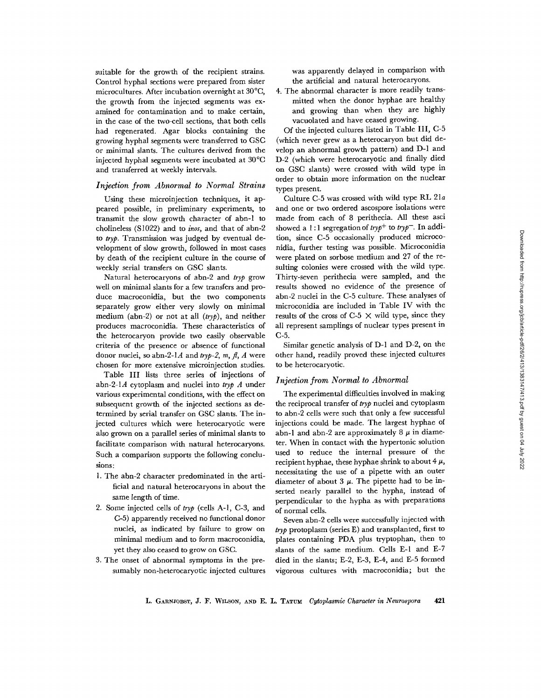suitable for the growth of the recipient strains. Control hyphal sections were prepared from sister microcultures. After incubation overnight at 30°C, the growth from the injected segments was examined for contamination and to make certain, in the case of the two-cell sections, that both cells had regenerated. Agar blocks containing the growing hyphal segments were transferred to GSC or minimal slants. The cultures derived from the injected hyphal segments were incubated at 30°C and transferred at weekly intervals.

### *Injection from Abnormal to Normal Strains*

Using these microinjection techniques, it appeared possible, in preliminary experiments, to transmit the slow growth character of abn-1 to cholineless (S1022) and to *inos,* and that of abn-2 *to tryp.* Transmission was judged by eventual development of slow growth, followed in most cases by death of the recipient culture in the course of weekly serial transfers on GSC slants.

Natural heterocaryons of abn-2 and *tryp* grow well on minimal slants for a few transfers and produce macroconidia, but the two components separately grow either very slowly on minimal medium (abn-2) or not at all *(tryp),* and neither produces macroconidia. These characteristics of the heterocaryon provide two easily observable criteria of the presence or absence of functional donor nuclei, so abn-2-1A and *tryp-2, m, fl, A* were chosen for more extensive microinjection studies.

Table III lists three series of injections of abn-2-1A cytoplasm and nuclei into *tryp A* under various experimental conditions, with the effect on subsequent growth of the injected sections as determined by serial transfer on GSC slants. The injected cultures which were heterocaryotic were also grown on a parallel series of minimal slants to facilitate comparison with natural heterocaryons. Such a comparison supports the following conclusions:

- 1. The abn-2 character predominated in the artificial and natural heterocaryons in about the same length of time.
- 2. Some injected cells of *tryp* (cells A-l, C-3, and C-5) apparently received no functional donor nuclei, as indicated by failure to grow on minimal medium and to form macroconidia, yet they also ceased to grow on GSC.
- 3. The onset of abnormal symptoms in the presumably non-heterocaryotic injected cultures

was apparently delayed in comparison with the artificial and natural heterocaryons.

4. The abnormal character is more readily transmitted when the donor hyphae are healthy and growing than when they are highly vacuolated and have ceased growing.

Of the injected cultures listed in Table III, C-5 (which never grew as a heterocaryon but did develop an abnormal growth pattern) and D-1 and D-2 (which were heterocaryotic and finally died on GSC slants) were crossed with wild type in order to obtain more information on the nuclear types present.

Culture C-5 was crossed with wild type RL 21a and one or two ordered ascospore isolations were made from each of 8 perithecia. All these asci showed a 1 : 1 segregation of *tryp +* to *tryp-.* In addition, since C-5 occasionally produced microconidia, further testing was possible. Microconidia were plated on sorbose medium and 27 of the resulting colonies were crossed with the wild type. Thirty-seven perithecia were sampled, and the results showed no evidence of the presence of abn-2 nuclei in the C-5 culture. These analyses of microconidia are included in Table IV with the results of the cross of C-5  $\times$  wild type, since they all represent samplings of nuclear types present in C-5.

Similar genetic analysis of D-1 and D-2, on the other hand, readily proved these injected cultures to be heterocaryotic.

#### *Injection from Normal to Abnormal*

The experimental difficulties involved in making the reciprocal transfer of *tryp* nuclei and cytoplasm to abn-2 cells were such that only a few successful injections could be made. The largest hyphae of abn-1 and abn-2 are approximately 8  $\mu$  in diameter. When in contact with the hypertonic solution used to reduce the internal pressure of the recipient hyphae, these hyphae shrink to about  $4 \mu$ , necessitating the use of a pipette with an outer diameter of about 3  $\mu$ . The pipette had to be inserted nearly parallel to the hypha, instead of perpendicular to the hypha as with preparations of normal cells.

Seven abn-2 cells were successfully injected with *tryp* protoplasm (series E) and transplanted, first to plales containing PDA plus tryptophan, then to slants of the same medium. Cells E-1 and E-7 died in the slants; E-2, E-3, E-4, and E-5 formed vigorous cultures with macroconidia; but the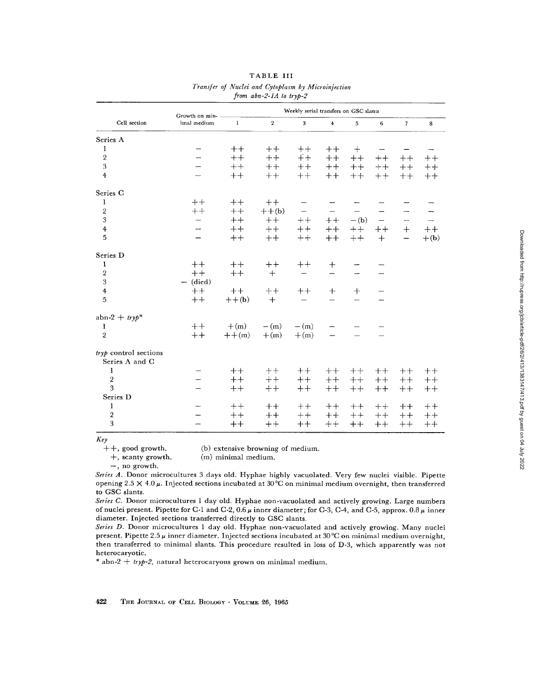| l<br>j                                                                     |
|----------------------------------------------------------------------------|
|                                                                            |
|                                                                            |
|                                                                            |
|                                                                            |
| i                                                                          |
| Ī                                                                          |
|                                                                            |
|                                                                            |
|                                                                            |
|                                                                            |
|                                                                            |
|                                                                            |
| i                                                                          |
|                                                                            |
|                                                                            |
|                                                                            |
|                                                                            |
|                                                                            |
|                                                                            |
|                                                                            |
|                                                                            |
| l                                                                          |
|                                                                            |
|                                                                            |
|                                                                            |
|                                                                            |
|                                                                            |
|                                                                            |
|                                                                            |
| ì                                                                          |
|                                                                            |
|                                                                            |
|                                                                            |
|                                                                            |
|                                                                            |
|                                                                            |
|                                                                            |
|                                                                            |
|                                                                            |
|                                                                            |
|                                                                            |
|                                                                            |
| ı                                                                          |
|                                                                            |
|                                                                            |
|                                                                            |
|                                                                            |
|                                                                            |
| l                                                                          |
|                                                                            |
| I<br>ı                                                                     |
|                                                                            |
|                                                                            |
|                                                                            |
|                                                                            |
|                                                                            |
|                                                                            |
|                                                                            |
|                                                                            |
| .<br>.<br>.                                                                |
|                                                                            |
| Į<br>)<br>)<br>)                                                           |
| $\begin{array}{c}\n\vdots \\ \vdots \\ \vdots \\ \vdots\n\end{array}$<br>İ |
|                                                                            |
|                                                                            |
|                                                                            |

|                                         |                               | Weekly serial transfers on GSC slants |                |                         |                          |        |                |                |        |
|-----------------------------------------|-------------------------------|---------------------------------------|----------------|-------------------------|--------------------------|--------|----------------|----------------|--------|
| Cell section                            | Growth on min-<br>imal medium | $\mathbf{1}$                          | $\overline{2}$ | $\overline{\mathbf{3}}$ | $\overline{4}$           | 5      | $6\phantom{a}$ | $\overline{7}$ | 8      |
| Series A                                |                               |                                       |                |                         |                          |        |                |                |        |
| $\mathbf{l}$                            |                               | $++$                                  | $++$           | $++$                    | $++$                     | $+$    |                |                |        |
| $\sqrt{2}$                              |                               | $++$                                  | $++$           | $+$                     | $++$                     | $^+$   | $^{++}$        | $++$           | $++$   |
| 3                                       |                               | $++$                                  | $++$           | $++$                    | $++$                     | $++$   | $++$           | $^+$           | $+ +$  |
| $\overline{4}$                          |                               | $++$                                  | $++$           | $++$                    | $++$                     | $++$   | $+ +$          | $++$           | $++$   |
| Series C                                |                               |                                       |                |                         |                          |        |                |                |        |
| 1                                       | $++$                          | $++$                                  | $++$           |                         |                          |        |                |                |        |
| $\overline{2}$                          | $++$                          | $++$                                  | $++$ (b)       |                         |                          |        |                |                |        |
| 3                                       |                               | $++$                                  | $++$           | $++$                    | $++$                     | $-(b)$ | -              | —              | -      |
| $\overline{\mathbf{4}}$                 |                               | $++$                                  | $++$           | $++$                    | $++$                     | $++$   | $++$           | $+$            | $++$   |
| $\overline{5}$                          |                               | $++$                                  | $++$           | $++$                    | $++$                     | $++$   | $+$            | —              | $+(b)$ |
| Series D                                |                               |                                       |                |                         |                          |        |                |                |        |
| 1                                       | $++$                          | $++$                                  | $++$           | $++$                    | $+$                      |        |                |                |        |
| $\overline{2}$                          | $++$                          | $++$                                  | $+$            |                         | ÷                        |        |                |                |        |
| 3                                       | $-$ (died)                    |                                       |                |                         |                          |        |                |                |        |
| $\overline{4}$                          | $++$                          | $++$                                  | $++$           | $^{\mathrm{+}}$         | $+$                      | $+$    |                |                |        |
| 5                                       | $++$                          | $++$ (b)                              | $+$            |                         | $\overline{\phantom{0}}$ |        |                |                |        |
| abn-2 + $tryp*$                         |                               |                                       |                |                         |                          |        |                |                |        |
| $\mathbf{I}$                            | $++$                          | $+(m)$                                | $-(m)$         | $-(m)$                  |                          |        |                |                |        |
| $\overline{2}$                          | $++$                          | $++(m)$                               | $+(m)$         | $+(m)$                  |                          |        |                |                |        |
| tryp control sections<br>Series A and C |                               |                                       |                |                         |                          |        |                |                |        |
| 1                                       |                               | $++$                                  | $++$           | $++$                    | $++$                     | $++$   | $++$           | $++$           | $++$   |
| $\sqrt{2}$                              |                               | $++$                                  | $++$           | $++$                    | $++$                     | $++$   | $++$           | $++$           | $++$   |
| 3                                       |                               | $++$                                  | $++$           | $++$                    | $++$                     | $++$   | $++$           | $++$           | $++$   |
| Series D                                |                               |                                       |                |                         |                          |        |                |                |        |
| $\mathbf{1}$                            |                               | $++$                                  | $++$           | $++$                    | $++$                     | $++$   | $++$           | $++$           | $++$   |
| $\overline{2}$                          |                               | $++$                                  | $++$           | $++$                    | $++$                     | $++$   | $++$           | $++$           | $++$   |
| 3                                       |                               | $++$                                  | $++$           | $++$                    | $^+$                     | $^+$   | $++$           | $++$           | $++$   |

|         |  | TABLE III |  |
|---------|--|-----------|--|
| C. Mary |  |           |  |

# *Transfer of Nuclei and Cytoplasm by Microinjection*

*Key* 

++, good growth. (b) extensive browning of medium.

+, scanty growth. (m) minimal medium.

--, no growth.

*Series A.* Donor microcultures 3 days old. Hyphae highly vacuolated. Very few nuclei visible. Pipette opening 2.5  $\times$  4.0  $\mu$ . Injected sections incubated at 30 °C on minimal medium overnight, then transferred to GSC slants.

*Series C.* Donor microcultures 1 day old. Hyphae non-vacuolated and actively growing. Large numbers of nuclei present. Pipette for C-1 and C-2, 0.6  $\mu$  inner diameter; for C-3, C-4, and C-5, approx. 0.8  $\mu$  inner diameter. Injected sections transferred directly to GSC slants.

*Series D.* Donor microcultures 1 day old. Hyphae non-vacuolated and actively growing. Many nuclei present. Pipette 2.5  $\mu$  inner diameter. Injected sections incubated at 30°C on minimal medium overnight, then transferred to minimal slants. This procedure resulted in loss of D-3, which apparently was not heterocaryotic.

 $*$  abn-2 + *tryp-2*, natural heterocaryons grown on minimal medium.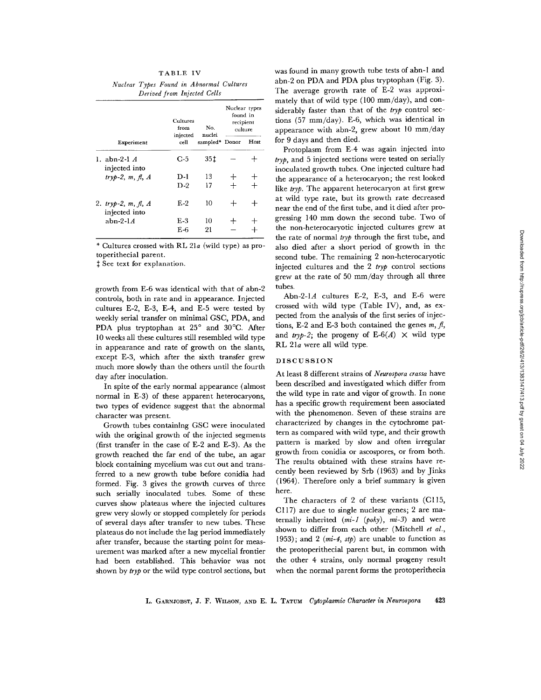# TABLE IV

*Nuclear Types Found in Abnormal Cultures Derived from Injected Cells* 

|                                      | Cultures<br>from | No.<br>nuclei<br>sampled* Donor | Nuclear types<br>found in<br>recipient<br>culture |      |
|--------------------------------------|------------------|---------------------------------|---------------------------------------------------|------|
| Experiment                           | injected<br>cell |                                 |                                                   | Host |
| 1. abn-2-1 <i>A</i><br>injected into | C-5              | 35 t                            |                                                   |      |
| $tryb-2, m, fl, A$                   | D-1              | 13                              |                                                   |      |
|                                      | D-2              | 17                              |                                                   |      |
| 2. tryp-2, m, fl, A<br>injected into | $E-2$            | 10                              |                                                   |      |
| abn-2- $1A$                          | $E-3$            | 10                              |                                                   |      |
|                                      | E-6              | 21                              |                                                   |      |

\* Cultures crossed with RL 21a (wild type) as protoperithecial parent.

 $\ddagger$  See text for explanation.

growth from E-6 was identical with that of abn-2 controls, both in rate and in appearance. Injected cultures E-2, E-3, E-4, and E-5 were tested by weekly serial transfer on minimal GSC, PDA, and PDA plus tryptophan at 25° and 30°C. After 10 weeks all these cultures still resembled wild type in appearance and rate of growth on the slants, except E-3, which after the sixth transfer grew much more slowly than the others until the fourth day after inoculation.

In spite of the early normal appearance (almost normal in E-3) of these apparent heterocaryons, two types of evidence suggest that the abnormal character was present.

Growth tubes containing GSC were inoculated with the original growth of the injected segments (first transfer in the case of E-2 and E-3). As the growth reached the far end of the tube, an agar block containing mycelium was cut out and transferred to a new growth tube before conidia had formed. Fig. 3 gives the growth curves of three such serially inoculated tubes. Some of these curves show plateaus where the injected cultures grew very slowly or stopped completely for periods of several days after transfer to new tubes. These plateaus do not include the lag period immediately after transfer, because the starting point for measurement was marked after a new mycelial frontier had been established. This behavior was not shown by *tryp* or the wild type control sections, but was found in many growth tube tests of abn-1 and abn-2 on PDA and PDA plus tryptophan (Fig. 3). The average growth rate of E-2 was approximately that of wild type (100 mm/day), and considerably faster than that of the *tryp* control sections (57 mm/day). E-6, which was identical in appearance with abn-2, grew about 10 mm/day for 9 days and then died.

Protoplasm from E-4 was again injected into *tryp,* and 5 injected sections were tested on serially inoculated growth tubes. One injected culture had the appearance of a heterocaryon; the rest looked like *tryp*. The apparent heterocaryon at first grew at wild type rate, but its growth rate decreased near the end of the first tube, and it died after progressing 140 mm down the second tube. Two of the non-heterocaryotic injected cultures grew at the rate of normal *tryp* through the first tube, and also died after a short period of growth in the second tube. The remaining 2 non-heterocaryotic injected cultures and the 2 *tryp* control sections grew at the rate of 50 mm/day through all three tubes.

Abn-2-1A cultures E-2, E-3, and E-6 were crossed with wild type (Table IV), and, as expected from the analysis of the first series of injections, E-2 and E-3 both contained the genes  $m, \beta$ , and *tryp-2*; the progeny of E-6(A)  $\times$  wild type RL 21a were all wild type.

# DISCUSSION

At least 8 different strains of *Neurospora crassa* have been described and investigated which differ from the wild type in rate and vigor of growth. In none has a specific growth requirement been associated with the phenomenon. Seven of these strains are characterized by changes in the cytochrome pattern as compared with wild type, and their growth pattern is marked by slow and often irregular growth from conidia or ascospores, or from both. The results obtained with these strains have recently been reviewed by Srb (1963) and by Jinks (1964). Therefore only a brief summary is given here.

The characters of 2 of these variants (Cl15, Cl17) are due to single nuclear genes; 2 are maternally inherited  $(mi-1 (poky), m i-3)$  and were shown to differ from each other (Mitchell *et al.,*  1953); and 2  $(mi-4, stp)$  are unable to function as the protoperithecial parent but, in common with the other 4 strains, only normal progeny result when the normal parent forms the protoperithecia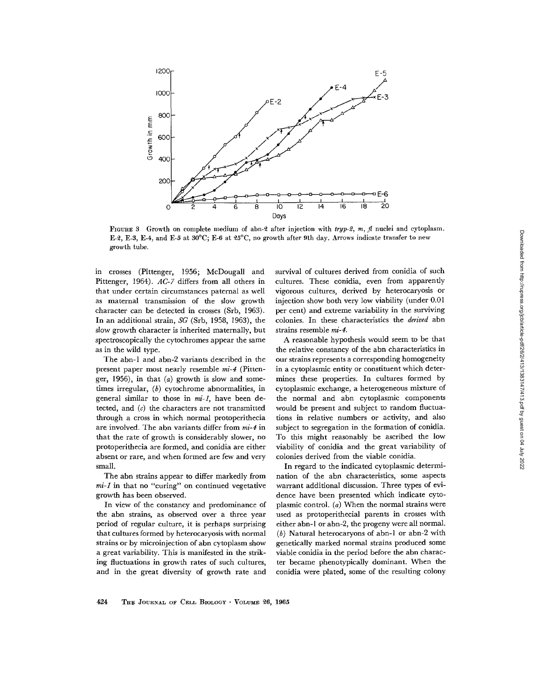

FIGURE 3 Growth on complete medium of abn-2 after injection with *tryp-2, m, fl* nuclei and cytoplasm. E-2, E-3, E-4, and E-5 at  $30^{\circ}$ C; E-6 at  $25^{\circ}$ C, no growth after 9th day. Arrows indicate transfer to new growth tube.

in crosses (Pittenger, 1956; McDougall and Pittenger, 1964). *AC-7* differs from all others in that under certain circumstances paternal as well as maternal transmission of the slow growth character can be detected in crosses (Srb, 1963). In an additional strain, *SG* (Srb, 1958, 1963), the slow growth character is inherited maternally, but spectroscopically the cytochromes appear the same as in the wild type.

The abn-1 and abn-2 variants described in the present paper most nearly resemble *mi-4* (Pittenger, 1956), in that  $(a)$  growth is slow and sometimes irregular, (b) cytochrome abnormalities, in general similar to those in *mi-1,* have been detected, and  $(c)$  the characters are not transmitted through a cross in which normal protoperithecia are involved. The abn variants differ from *mi-4* in that the rate of growth is considerably slower, no protoperitheeia are formed, and conidia are either absent or rare, and when formed are few and very small.

The abn strains appear to differ markedly from *mi-1* in that no "curing" on continued vegetative growth has been observed.

In view of the constancy and predominance of the abn strains, as observed over a three year period of regular culture, it is perhaps surprising that cultures formed by heterocaryosis with normal strains or by microinjection of abn cytoplasm show a great variability. This is manifested in the striking fluctuations in growth rates of such cultures, and in the great diversity of growth rate and survival of cultures derived from conidia of such cultures. These conidia, even from apparently vigorous cultures, derived by heterocaryosis or injection show both very low viability (under 0.01 per cent) and extreme variability in the surviving colonies. In these characteristics the *derived* abn strains resemble *mi-4.* 

A reasonable hypothesis would seem to be that the relative constancy of the abn characteristics in our strains represents a corresponding homogeneity in a cytoplasmic entity or constituent which determines these properties. In cultures formed by cytoplasmic exchange, a heterogeneous mixture of the normal and abn cytoplasmic components would be present and subject to random fluctuations in relative numbers or activity, and also subject to segregation in the formation of conidia. To this might reasonably be ascribed the low viability of conidia and the great variability of colonies derived from the viable conidia.

In regard to the indicated cytoplasmic determination of the abn characteristics, some aspects warrant additional discussion. Three types of evidence have been presented which indicate cytoplasmic control.  $(a)$  When the normal strains were used as protoperithecial parents in crosses with either abn-I or abn-2, the progeny were all normal. (b) Natural heterocaryons of abn-1 or abn-2 with genetically marked normal strains produced some viable conidia in the period before the abn character became phenotypically dominant. When the conidia were plated, some of the resulting colony